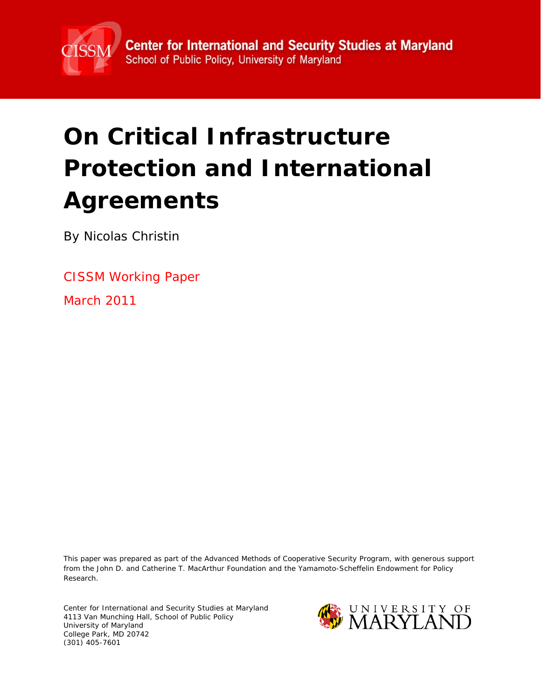

# **On Critical Infrastructure Protection and International Agreements**

By Nicolas Christin

CISSM Working Paper

March 2011

This paper was prepared as part of the Advanced Methods of Cooperative Security Program, with generous support from the John D. and Catherine T. MacArthur Foundation and the Yamamoto-Scheffelin Endowment for Policy Research.

Center for International and Security Studies at Maryland 4113 Van Munching Hall, School of Public Policy University of Maryland College Park, MD 20742 (301) 405-7601

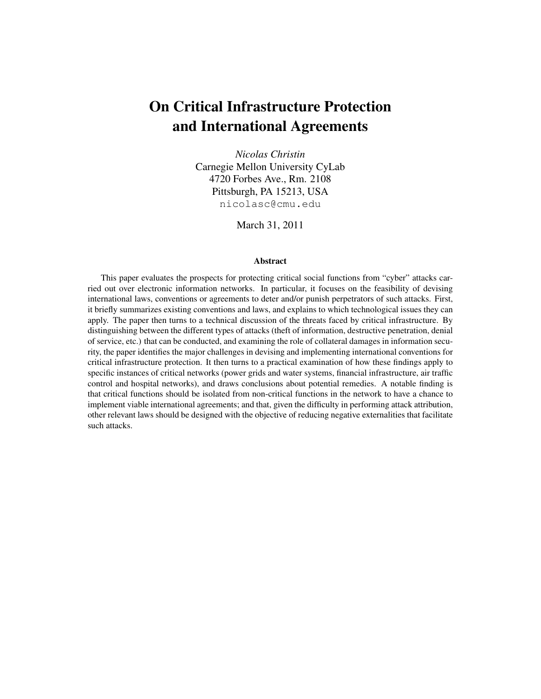## On Critical Infrastructure Protection and International Agreements

*Nicolas Christin* Carnegie Mellon University CyLab 4720 Forbes Ave., Rm. 2108 Pittsburgh, PA 15213, USA nicolasc@cmu.edu

March 31, 2011

#### Abstract

This paper evaluates the prospects for protecting critical social functions from "cyber" attacks carried out over electronic information networks. In particular, it focuses on the feasibility of devising international laws, conventions or agreements to deter and/or punish perpetrators of such attacks. First, it briefly summarizes existing conventions and laws, and explains to which technological issues they can apply. The paper then turns to a technical discussion of the threats faced by critical infrastructure. By distinguishing between the different types of attacks (theft of information, destructive penetration, denial of service, etc.) that can be conducted, and examining the role of collateral damages in information security, the paper identifies the major challenges in devising and implementing international conventions for critical infrastructure protection. It then turns to a practical examination of how these findings apply to specific instances of critical networks (power grids and water systems, financial infrastructure, air traffic control and hospital networks), and draws conclusions about potential remedies. A notable finding is that critical functions should be isolated from non-critical functions in the network to have a chance to implement viable international agreements; and that, given the difficulty in performing attack attribution, other relevant laws should be designed with the objective of reducing negative externalities that facilitate such attacks.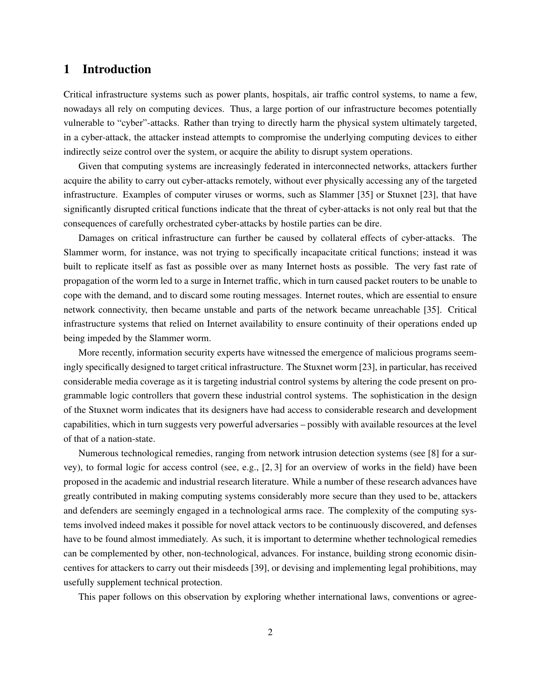## 1 Introduction

Critical infrastructure systems such as power plants, hospitals, air traffic control systems, to name a few, nowadays all rely on computing devices. Thus, a large portion of our infrastructure becomes potentially vulnerable to "cyber"-attacks. Rather than trying to directly harm the physical system ultimately targeted, in a cyber-attack, the attacker instead attempts to compromise the underlying computing devices to either indirectly seize control over the system, or acquire the ability to disrupt system operations.

Given that computing systems are increasingly federated in interconnected networks, attackers further acquire the ability to carry out cyber-attacks remotely, without ever physically accessing any of the targeted infrastructure. Examples of computer viruses or worms, such as Slammer [35] or Stuxnet [23], that have significantly disrupted critical functions indicate that the threat of cyber-attacks is not only real but that the consequences of carefully orchestrated cyber-attacks by hostile parties can be dire.

Damages on critical infrastructure can further be caused by collateral effects of cyber-attacks. The Slammer worm, for instance, was not trying to specifically incapacitate critical functions; instead it was built to replicate itself as fast as possible over as many Internet hosts as possible. The very fast rate of propagation of the worm led to a surge in Internet traffic, which in turn caused packet routers to be unable to cope with the demand, and to discard some routing messages. Internet routes, which are essential to ensure network connectivity, then became unstable and parts of the network became unreachable [35]. Critical infrastructure systems that relied on Internet availability to ensure continuity of their operations ended up being impeded by the Slammer worm.

More recently, information security experts have witnessed the emergence of malicious programs seemingly specifically designed to target critical infrastructure. The Stuxnet worm [23], in particular, has received considerable media coverage as it is targeting industrial control systems by altering the code present on programmable logic controllers that govern these industrial control systems. The sophistication in the design of the Stuxnet worm indicates that its designers have had access to considerable research and development capabilities, which in turn suggests very powerful adversaries – possibly with available resources at the level of that of a nation-state.

Numerous technological remedies, ranging from network intrusion detection systems (see [8] for a survey), to formal logic for access control (see, e.g., [2, 3] for an overview of works in the field) have been proposed in the academic and industrial research literature. While a number of these research advances have greatly contributed in making computing systems considerably more secure than they used to be, attackers and defenders are seemingly engaged in a technological arms race. The complexity of the computing systems involved indeed makes it possible for novel attack vectors to be continuously discovered, and defenses have to be found almost immediately. As such, it is important to determine whether technological remedies can be complemented by other, non-technological, advances. For instance, building strong economic disincentives for attackers to carry out their misdeeds [39], or devising and implementing legal prohibitions, may usefully supplement technical protection.

This paper follows on this observation by exploring whether international laws, conventions or agree-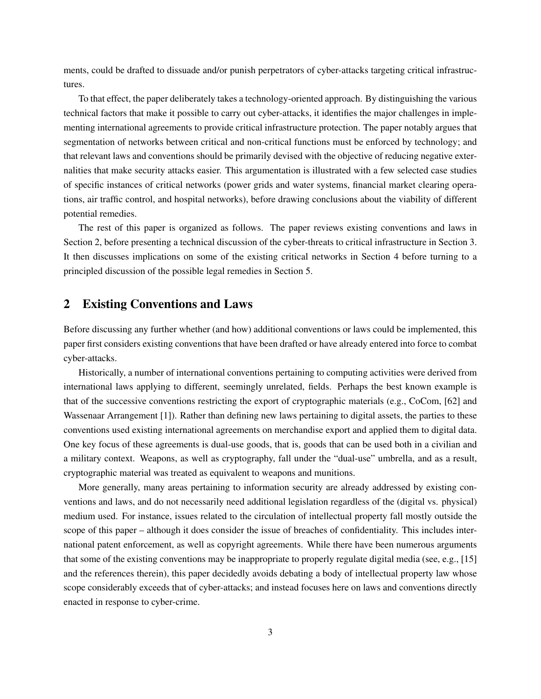ments, could be drafted to dissuade and/or punish perpetrators of cyber-attacks targeting critical infrastructures.

To that effect, the paper deliberately takes a technology-oriented approach. By distinguishing the various technical factors that make it possible to carry out cyber-attacks, it identifies the major challenges in implementing international agreements to provide critical infrastructure protection. The paper notably argues that segmentation of networks between critical and non-critical functions must be enforced by technology; and that relevant laws and conventions should be primarily devised with the objective of reducing negative externalities that make security attacks easier. This argumentation is illustrated with a few selected case studies of specific instances of critical networks (power grids and water systems, financial market clearing operations, air traffic control, and hospital networks), before drawing conclusions about the viability of different potential remedies.

The rest of this paper is organized as follows. The paper reviews existing conventions and laws in Section 2, before presenting a technical discussion of the cyber-threats to critical infrastructure in Section 3. It then discusses implications on some of the existing critical networks in Section 4 before turning to a principled discussion of the possible legal remedies in Section 5.

## 2 Existing Conventions and Laws

Before discussing any further whether (and how) additional conventions or laws could be implemented, this paper first considers existing conventions that have been drafted or have already entered into force to combat cyber-attacks.

Historically, a number of international conventions pertaining to computing activities were derived from international laws applying to different, seemingly unrelated, fields. Perhaps the best known example is that of the successive conventions restricting the export of cryptographic materials (e.g., CoCom, [62] and Wassenaar Arrangement [1]). Rather than defining new laws pertaining to digital assets, the parties to these conventions used existing international agreements on merchandise export and applied them to digital data. One key focus of these agreements is dual-use goods, that is, goods that can be used both in a civilian and a military context. Weapons, as well as cryptography, fall under the "dual-use" umbrella, and as a result, cryptographic material was treated as equivalent to weapons and munitions.

More generally, many areas pertaining to information security are already addressed by existing conventions and laws, and do not necessarily need additional legislation regardless of the (digital vs. physical) medium used. For instance, issues related to the circulation of intellectual property fall mostly outside the scope of this paper – although it does consider the issue of breaches of confidentiality. This includes international patent enforcement, as well as copyright agreements. While there have been numerous arguments that some of the existing conventions may be inappropriate to properly regulate digital media (see, e.g., [15] and the references therein), this paper decidedly avoids debating a body of intellectual property law whose scope considerably exceeds that of cyber-attacks; and instead focuses here on laws and conventions directly enacted in response to cyber-crime.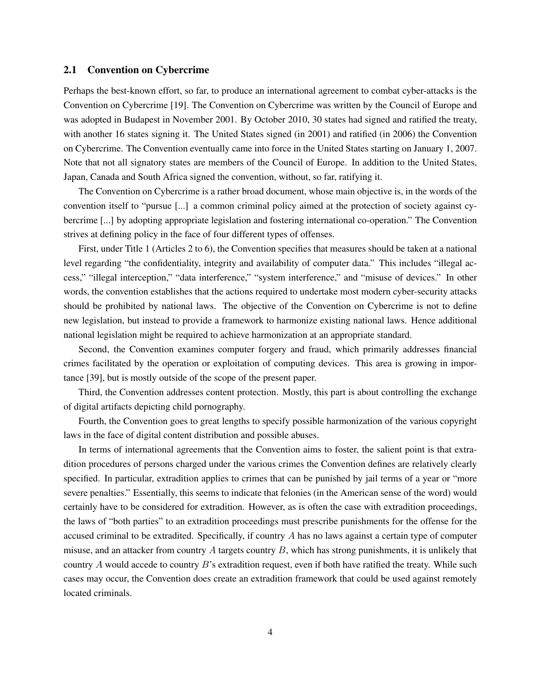## 2.1 Convention on Cybercrime

Perhaps the best-known effort, so far, to produce an international agreement to combat cyber-attacks is the Convention on Cybercrime [19]. The Convention on Cybercrime was written by the Council of Europe and was adopted in Budapest in November 2001. By October 2010, 30 states had signed and ratified the treaty, with another 16 states signing it. The United States signed (in 2001) and ratified (in 2006) the Convention on Cybercrime. The Convention eventually came into force in the United States starting on January 1, 2007. Note that not all signatory states are members of the Council of Europe. In addition to the United States, Japan, Canada and South Africa signed the convention, without, so far, ratifying it.

The Convention on Cybercrime is a rather broad document, whose main objective is, in the words of the convention itself to "pursue [...] a common criminal policy aimed at the protection of society against cybercrime [...] by adopting appropriate legislation and fostering international co-operation." The Convention strives at defining policy in the face of four different types of offenses.

First, under Title 1 (Articles 2 to 6), the Convention specifies that measures should be taken at a national level regarding "the confidentiality, integrity and availability of computer data." This includes "illegal access," "illegal interception," "data interference," "system interference," and "misuse of devices." In other words, the convention establishes that the actions required to undertake most modern cyber-security attacks should be prohibited by national laws. The objective of the Convention on Cybercrime is not to define new legislation, but instead to provide a framework to harmonize existing national laws. Hence additional national legislation might be required to achieve harmonization at an appropriate standard.

Second, the Convention examines computer forgery and fraud, which primarily addresses financial crimes facilitated by the operation or exploitation of computing devices. This area is growing in importance [39], but is mostly outside of the scope of the present paper.

Third, the Convention addresses content protection. Mostly, this part is about controlling the exchange of digital artifacts depicting child pornography.

Fourth, the Convention goes to great lengths to specify possible harmonization of the various copyright laws in the face of digital content distribution and possible abuses.

In terms of international agreements that the Convention aims to foster, the salient point is that extradition procedures of persons charged under the various crimes the Convention defines are relatively clearly specified. In particular, extradition applies to crimes that can be punished by jail terms of a year or "more severe penalties." Essentially, this seems to indicate that felonies (in the American sense of the word) would certainly have to be considered for extradition. However, as is often the case with extradition proceedings, the laws of "both parties" to an extradition proceedings must prescribe punishments for the offense for the accused criminal to be extradited. Specifically, if country A has no laws against a certain type of computer misuse, and an attacker from country A targets country  $B$ , which has strong punishments, it is unlikely that country A would accede to country  $B$ 's extradition request, even if both have ratified the treaty. While such cases may occur, the Convention does create an extradition framework that could be used against remotely located criminals.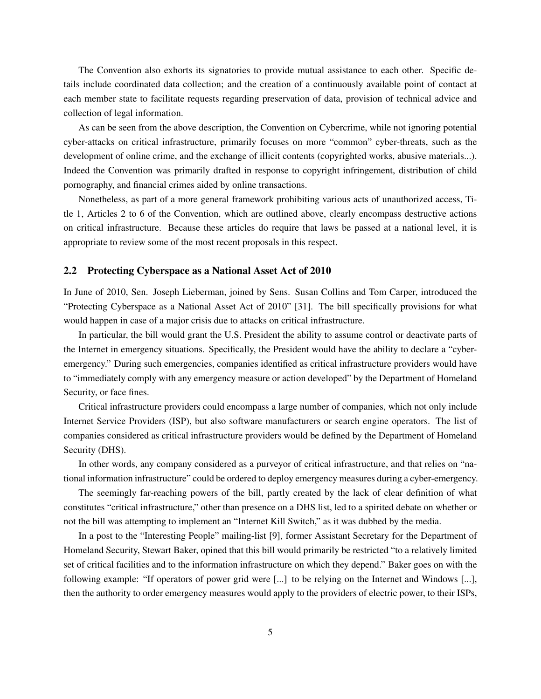The Convention also exhorts its signatories to provide mutual assistance to each other. Specific details include coordinated data collection; and the creation of a continuously available point of contact at each member state to facilitate requests regarding preservation of data, provision of technical advice and collection of legal information.

As can be seen from the above description, the Convention on Cybercrime, while not ignoring potential cyber-attacks on critical infrastructure, primarily focuses on more "common" cyber-threats, such as the development of online crime, and the exchange of illicit contents (copyrighted works, abusive materials...). Indeed the Convention was primarily drafted in response to copyright infringement, distribution of child pornography, and financial crimes aided by online transactions.

Nonetheless, as part of a more general framework prohibiting various acts of unauthorized access, Title 1, Articles 2 to 6 of the Convention, which are outlined above, clearly encompass destructive actions on critical infrastructure. Because these articles do require that laws be passed at a national level, it is appropriate to review some of the most recent proposals in this respect.

#### 2.2 Protecting Cyberspace as a National Asset Act of 2010

In June of 2010, Sen. Joseph Lieberman, joined by Sens. Susan Collins and Tom Carper, introduced the "Protecting Cyberspace as a National Asset Act of 2010" [31]. The bill specifically provisions for what would happen in case of a major crisis due to attacks on critical infrastructure.

In particular, the bill would grant the U.S. President the ability to assume control or deactivate parts of the Internet in emergency situations. Specifically, the President would have the ability to declare a "cyberemergency." During such emergencies, companies identified as critical infrastructure providers would have to "immediately comply with any emergency measure or action developed" by the Department of Homeland Security, or face fines.

Critical infrastructure providers could encompass a large number of companies, which not only include Internet Service Providers (ISP), but also software manufacturers or search engine operators. The list of companies considered as critical infrastructure providers would be defined by the Department of Homeland Security (DHS).

In other words, any company considered as a purveyor of critical infrastructure, and that relies on "national information infrastructure" could be ordered to deploy emergency measures during a cyber-emergency.

The seemingly far-reaching powers of the bill, partly created by the lack of clear definition of what constitutes "critical infrastructure," other than presence on a DHS list, led to a spirited debate on whether or not the bill was attempting to implement an "Internet Kill Switch," as it was dubbed by the media.

In a post to the "Interesting People" mailing-list [9], former Assistant Secretary for the Department of Homeland Security, Stewart Baker, opined that this bill would primarily be restricted "to a relatively limited set of critical facilities and to the information infrastructure on which they depend." Baker goes on with the following example: "If operators of power grid were [...] to be relying on the Internet and Windows [...], then the authority to order emergency measures would apply to the providers of electric power, to their ISPs,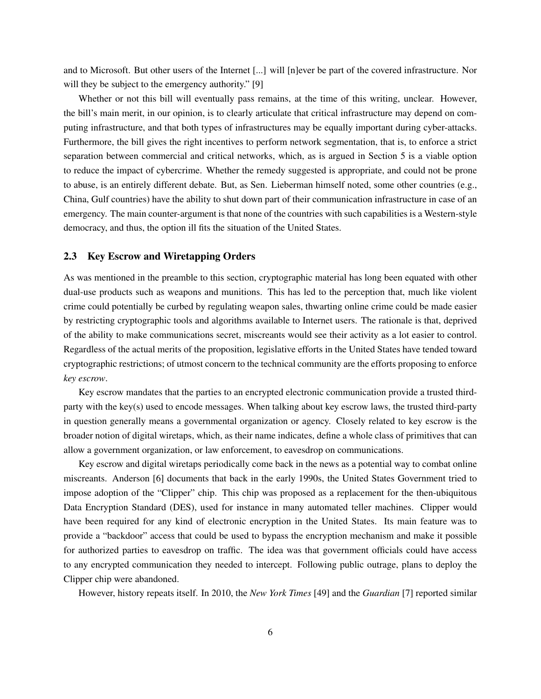and to Microsoft. But other users of the Internet [...] will [n]ever be part of the covered infrastructure. Nor will they be subject to the emergency authority." [9]

Whether or not this bill will eventually pass remains, at the time of this writing, unclear. However, the bill's main merit, in our opinion, is to clearly articulate that critical infrastructure may depend on computing infrastructure, and that both types of infrastructures may be equally important during cyber-attacks. Furthermore, the bill gives the right incentives to perform network segmentation, that is, to enforce a strict separation between commercial and critical networks, which, as is argued in Section 5 is a viable option to reduce the impact of cybercrime. Whether the remedy suggested is appropriate, and could not be prone to abuse, is an entirely different debate. But, as Sen. Lieberman himself noted, some other countries (e.g., China, Gulf countries) have the ability to shut down part of their communication infrastructure in case of an emergency. The main counter-argument is that none of the countries with such capabilities is a Western-style democracy, and thus, the option ill fits the situation of the United States.

#### 2.3 Key Escrow and Wiretapping Orders

As was mentioned in the preamble to this section, cryptographic material has long been equated with other dual-use products such as weapons and munitions. This has led to the perception that, much like violent crime could potentially be curbed by regulating weapon sales, thwarting online crime could be made easier by restricting cryptographic tools and algorithms available to Internet users. The rationale is that, deprived of the ability to make communications secret, miscreants would see their activity as a lot easier to control. Regardless of the actual merits of the proposition, legislative efforts in the United States have tended toward cryptographic restrictions; of utmost concern to the technical community are the efforts proposing to enforce *key escrow*.

Key escrow mandates that the parties to an encrypted electronic communication provide a trusted thirdparty with the key(s) used to encode messages. When talking about key escrow laws, the trusted third-party in question generally means a governmental organization or agency. Closely related to key escrow is the broader notion of digital wiretaps, which, as their name indicates, define a whole class of primitives that can allow a government organization, or law enforcement, to eavesdrop on communications.

Key escrow and digital wiretaps periodically come back in the news as a potential way to combat online miscreants. Anderson [6] documents that back in the early 1990s, the United States Government tried to impose adoption of the "Clipper" chip. This chip was proposed as a replacement for the then-ubiquitous Data Encryption Standard (DES), used for instance in many automated teller machines. Clipper would have been required for any kind of electronic encryption in the United States. Its main feature was to provide a "backdoor" access that could be used to bypass the encryption mechanism and make it possible for authorized parties to eavesdrop on traffic. The idea was that government officials could have access to any encrypted communication they needed to intercept. Following public outrage, plans to deploy the Clipper chip were abandoned.

However, history repeats itself. In 2010, the *New York Times* [49] and the *Guardian* [7] reported similar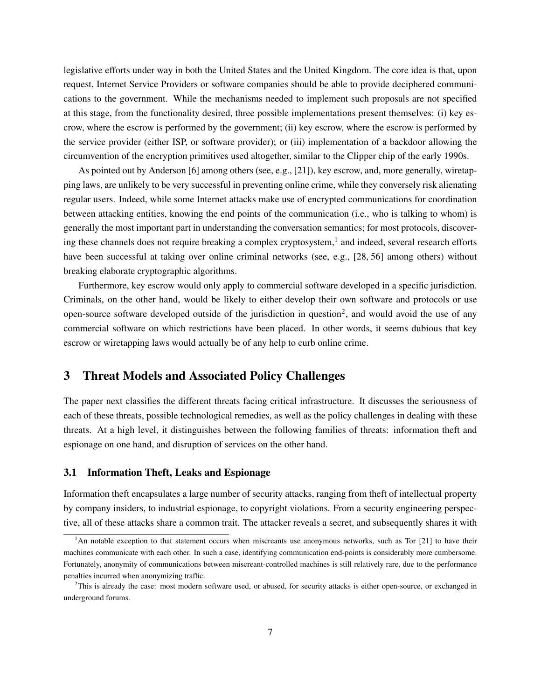legislative efforts under way in both the United States and the United Kingdom. The core idea is that, upon request, Internet Service Providers or software companies should be able to provide deciphered communications to the government. While the mechanisms needed to implement such proposals are not specified at this stage, from the functionality desired, three possible implementations present themselves: (i) key escrow, where the escrow is performed by the government; (ii) key escrow, where the escrow is performed by the service provider (either ISP, or software provider); or (iii) implementation of a backdoor allowing the circumvention of the encryption primitives used altogether, similar to the Clipper chip of the early 1990s.

As pointed out by Anderson [6] among others (see, e.g., [21]), key escrow, and, more generally, wiretapping laws, are unlikely to be very successful in preventing online crime, while they conversely risk alienating regular users. Indeed, while some Internet attacks make use of encrypted communications for coordination between attacking entities, knowing the end points of the communication (i.e., who is talking to whom) is generally the most important part in understanding the conversation semantics; for most protocols, discovering these channels does not require breaking a complex cryptosystem,<sup>1</sup> and indeed, several research efforts have been successful at taking over online criminal networks (see, e.g., [28, 56] among others) without breaking elaborate cryptographic algorithms.

Furthermore, key escrow would only apply to commercial software developed in a specific jurisdiction. Criminals, on the other hand, would be likely to either develop their own software and protocols or use open-source software developed outside of the jurisdiction in question<sup>2</sup>, and would avoid the use of any commercial software on which restrictions have been placed. In other words, it seems dubious that key escrow or wiretapping laws would actually be of any help to curb online crime.

## 3 Threat Models and Associated Policy Challenges

The paper next classifies the different threats facing critical infrastructure. It discusses the seriousness of each of these threats, possible technological remedies, as well as the policy challenges in dealing with these threats. At a high level, it distinguishes between the following families of threats: information theft and espionage on one hand, and disruption of services on the other hand.

#### 3.1 Information Theft, Leaks and Espionage

Information theft encapsulates a large number of security attacks, ranging from theft of intellectual property by company insiders, to industrial espionage, to copyright violations. From a security engineering perspective, all of these attacks share a common trait. The attacker reveals a secret, and subsequently shares it with

 $1$ An notable exception to that statement occurs when miscreants use anonymous networks, such as Tor [21] to have their machines communicate with each other. In such a case, identifying communication end-points is considerably more cumbersome. Fortunately, anonymity of communications between miscreant-controlled machines is still relatively rare, due to the performance penalties incurred when anonymizing traffic.

 $2$ This is already the case: most modern software used, or abused, for security attacks is either open-source, or exchanged in underground forums.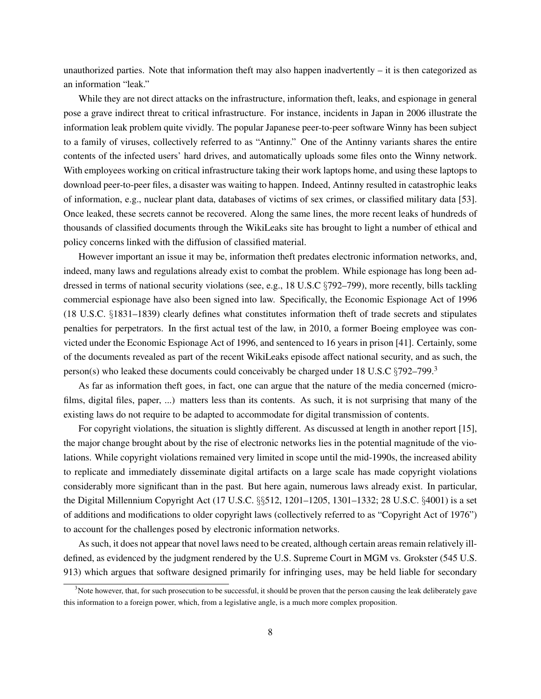unauthorized parties. Note that information theft may also happen inadvertently – it is then categorized as an information "leak."

While they are not direct attacks on the infrastructure, information theft, leaks, and espionage in general pose a grave indirect threat to critical infrastructure. For instance, incidents in Japan in 2006 illustrate the information leak problem quite vividly. The popular Japanese peer-to-peer software Winny has been subject to a family of viruses, collectively referred to as "Antinny." One of the Antinny variants shares the entire contents of the infected users' hard drives, and automatically uploads some files onto the Winny network. With employees working on critical infrastructure taking their work laptops home, and using these laptops to download peer-to-peer files, a disaster was waiting to happen. Indeed, Antinny resulted in catastrophic leaks of information, e.g., nuclear plant data, databases of victims of sex crimes, or classified military data [53]. Once leaked, these secrets cannot be recovered. Along the same lines, the more recent leaks of hundreds of thousands of classified documents through the WikiLeaks site has brought to light a number of ethical and policy concerns linked with the diffusion of classified material.

However important an issue it may be, information theft predates electronic information networks, and, indeed, many laws and regulations already exist to combat the problem. While espionage has long been addressed in terms of national security violations (see, e.g., 18 U.S.C §792–799), more recently, bills tackling commercial espionage have also been signed into law. Specifically, the Economic Espionage Act of 1996 (18 U.S.C. §1831–1839) clearly defines what constitutes information theft of trade secrets and stipulates penalties for perpetrators. In the first actual test of the law, in 2010, a former Boeing employee was convicted under the Economic Espionage Act of 1996, and sentenced to 16 years in prison [41]. Certainly, some of the documents revealed as part of the recent WikiLeaks episode affect national security, and as such, the person(s) who leaked these documents could conceivably be charged under 18 U.S.C  $\S792-799.3$ 

As far as information theft goes, in fact, one can argue that the nature of the media concerned (microfilms, digital files, paper, ...) matters less than its contents. As such, it is not surprising that many of the existing laws do not require to be adapted to accommodate for digital transmission of contents.

For copyright violations, the situation is slightly different. As discussed at length in another report [15], the major change brought about by the rise of electronic networks lies in the potential magnitude of the violations. While copyright violations remained very limited in scope until the mid-1990s, the increased ability to replicate and immediately disseminate digital artifacts on a large scale has made copyright violations considerably more significant than in the past. But here again, numerous laws already exist. In particular, the Digital Millennium Copyright Act (17 U.S.C. §§512, 1201–1205, 1301–1332; 28 U.S.C. §4001) is a set of additions and modifications to older copyright laws (collectively referred to as "Copyright Act of 1976") to account for the challenges posed by electronic information networks.

As such, it does not appear that novel laws need to be created, although certain areas remain relatively illdefined, as evidenced by the judgment rendered by the U.S. Supreme Court in MGM vs. Grokster (545 U.S. 913) which argues that software designed primarily for infringing uses, may be held liable for secondary

 $3$ Note however, that, for such prosecution to be successful, it should be proven that the person causing the leak deliberately gave this information to a foreign power, which, from a legislative angle, is a much more complex proposition.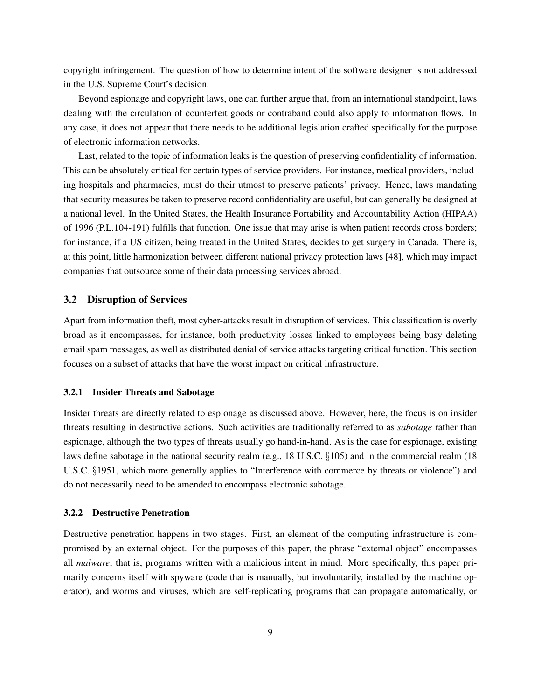copyright infringement. The question of how to determine intent of the software designer is not addressed in the U.S. Supreme Court's decision.

Beyond espionage and copyright laws, one can further argue that, from an international standpoint, laws dealing with the circulation of counterfeit goods or contraband could also apply to information flows. In any case, it does not appear that there needs to be additional legislation crafted specifically for the purpose of electronic information networks.

Last, related to the topic of information leaks is the question of preserving confidentiality of information. This can be absolutely critical for certain types of service providers. For instance, medical providers, including hospitals and pharmacies, must do their utmost to preserve patients' privacy. Hence, laws mandating that security measures be taken to preserve record confidentiality are useful, but can generally be designed at a national level. In the United States, the Health Insurance Portability and Accountability Action (HIPAA) of 1996 (P.L.104-191) fulfills that function. One issue that may arise is when patient records cross borders; for instance, if a US citizen, being treated in the United States, decides to get surgery in Canada. There is, at this point, little harmonization between different national privacy protection laws [48], which may impact companies that outsource some of their data processing services abroad.

#### 3.2 Disruption of Services

Apart from information theft, most cyber-attacks result in disruption of services. This classification is overly broad as it encompasses, for instance, both productivity losses linked to employees being busy deleting email spam messages, as well as distributed denial of service attacks targeting critical function. This section focuses on a subset of attacks that have the worst impact on critical infrastructure.

#### 3.2.1 Insider Threats and Sabotage

Insider threats are directly related to espionage as discussed above. However, here, the focus is on insider threats resulting in destructive actions. Such activities are traditionally referred to as *sabotage* rather than espionage, although the two types of threats usually go hand-in-hand. As is the case for espionage, existing laws define sabotage in the national security realm (e.g., 18 U.S.C. §105) and in the commercial realm (18 U.S.C. §1951, which more generally applies to "Interference with commerce by threats or violence") and do not necessarily need to be amended to encompass electronic sabotage.

#### 3.2.2 Destructive Penetration

Destructive penetration happens in two stages. First, an element of the computing infrastructure is compromised by an external object. For the purposes of this paper, the phrase "external object" encompasses all *malware*, that is, programs written with a malicious intent in mind. More specifically, this paper primarily concerns itself with spyware (code that is manually, but involuntarily, installed by the machine operator), and worms and viruses, which are self-replicating programs that can propagate automatically, or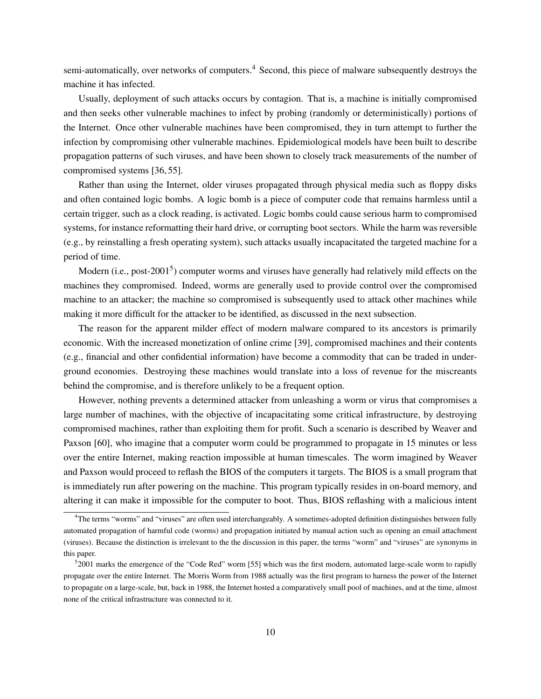semi-automatically, over networks of computers.<sup>4</sup> Second, this piece of malware subsequently destroys the machine it has infected.

Usually, deployment of such attacks occurs by contagion. That is, a machine is initially compromised and then seeks other vulnerable machines to infect by probing (randomly or deterministically) portions of the Internet. Once other vulnerable machines have been compromised, they in turn attempt to further the infection by compromising other vulnerable machines. Epidemiological models have been built to describe propagation patterns of such viruses, and have been shown to closely track measurements of the number of compromised systems [36, 55].

Rather than using the Internet, older viruses propagated through physical media such as floppy disks and often contained logic bombs. A logic bomb is a piece of computer code that remains harmless until a certain trigger, such as a clock reading, is activated. Logic bombs could cause serious harm to compromised systems, for instance reformatting their hard drive, or corrupting boot sectors. While the harm was reversible (e.g., by reinstalling a fresh operating system), such attacks usually incapacitated the targeted machine for a period of time.

Modern (i.e., post-2001<sup>5</sup>) computer worms and viruses have generally had relatively mild effects on the machines they compromised. Indeed, worms are generally used to provide control over the compromised machine to an attacker; the machine so compromised is subsequently used to attack other machines while making it more difficult for the attacker to be identified, as discussed in the next subsection.

The reason for the apparent milder effect of modern malware compared to its ancestors is primarily economic. With the increased monetization of online crime [39], compromised machines and their contents (e.g., financial and other confidential information) have become a commodity that can be traded in underground economies. Destroying these machines would translate into a loss of revenue for the miscreants behind the compromise, and is therefore unlikely to be a frequent option.

However, nothing prevents a determined attacker from unleashing a worm or virus that compromises a large number of machines, with the objective of incapacitating some critical infrastructure, by destroying compromised machines, rather than exploiting them for profit. Such a scenario is described by Weaver and Paxson [60], who imagine that a computer worm could be programmed to propagate in 15 minutes or less over the entire Internet, making reaction impossible at human timescales. The worm imagined by Weaver and Paxson would proceed to reflash the BIOS of the computers it targets. The BIOS is a small program that is immediately run after powering on the machine. This program typically resides in on-board memory, and altering it can make it impossible for the computer to boot. Thus, BIOS reflashing with a malicious intent

<sup>&</sup>lt;sup>4</sup>The terms "worms" and "viruses" are often used interchangeably. A sometimes-adopted definition distinguishes between fully automated propagation of harmful code (worms) and propagation initiated by manual action such as opening an email attachment (viruses). Because the distinction is irrelevant to the the discussion in this paper, the terms "worm" and "viruses" are synonyms in this paper.

<sup>5</sup> 2001 marks the emergence of the "Code Red" worm [55] which was the first modern, automated large-scale worm to rapidly propagate over the entire Internet. The Morris Worm from 1988 actually was the first program to harness the power of the Internet to propagate on a large-scale, but, back in 1988, the Internet hosted a comparatively small pool of machines, and at the time, almost none of the critical infrastructure was connected to it.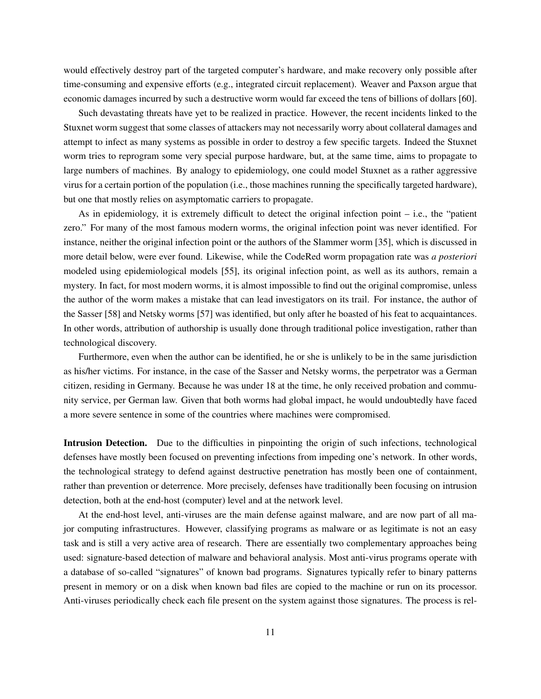would effectively destroy part of the targeted computer's hardware, and make recovery only possible after time-consuming and expensive efforts (e.g., integrated circuit replacement). Weaver and Paxson argue that economic damages incurred by such a destructive worm would far exceed the tens of billions of dollars [60].

Such devastating threats have yet to be realized in practice. However, the recent incidents linked to the Stuxnet worm suggest that some classes of attackers may not necessarily worry about collateral damages and attempt to infect as many systems as possible in order to destroy a few specific targets. Indeed the Stuxnet worm tries to reprogram some very special purpose hardware, but, at the same time, aims to propagate to large numbers of machines. By analogy to epidemiology, one could model Stuxnet as a rather aggressive virus for a certain portion of the population (i.e., those machines running the specifically targeted hardware), but one that mostly relies on asymptomatic carriers to propagate.

As in epidemiology, it is extremely difficult to detect the original infection point – i.e., the "patient zero." For many of the most famous modern worms, the original infection point was never identified. For instance, neither the original infection point or the authors of the Slammer worm [35], which is discussed in more detail below, were ever found. Likewise, while the CodeRed worm propagation rate was *a posteriori* modeled using epidemiological models [55], its original infection point, as well as its authors, remain a mystery. In fact, for most modern worms, it is almost impossible to find out the original compromise, unless the author of the worm makes a mistake that can lead investigators on its trail. For instance, the author of the Sasser [58] and Netsky worms [57] was identified, but only after he boasted of his feat to acquaintances. In other words, attribution of authorship is usually done through traditional police investigation, rather than technological discovery.

Furthermore, even when the author can be identified, he or she is unlikely to be in the same jurisdiction as his/her victims. For instance, in the case of the Sasser and Netsky worms, the perpetrator was a German citizen, residing in Germany. Because he was under 18 at the time, he only received probation and community service, per German law. Given that both worms had global impact, he would undoubtedly have faced a more severe sentence in some of the countries where machines were compromised.

Intrusion Detection. Due to the difficulties in pinpointing the origin of such infections, technological defenses have mostly been focused on preventing infections from impeding one's network. In other words, the technological strategy to defend against destructive penetration has mostly been one of containment, rather than prevention or deterrence. More precisely, defenses have traditionally been focusing on intrusion detection, both at the end-host (computer) level and at the network level.

At the end-host level, anti-viruses are the main defense against malware, and are now part of all major computing infrastructures. However, classifying programs as malware or as legitimate is not an easy task and is still a very active area of research. There are essentially two complementary approaches being used: signature-based detection of malware and behavioral analysis. Most anti-virus programs operate with a database of so-called "signatures" of known bad programs. Signatures typically refer to binary patterns present in memory or on a disk when known bad files are copied to the machine or run on its processor. Anti-viruses periodically check each file present on the system against those signatures. The process is rel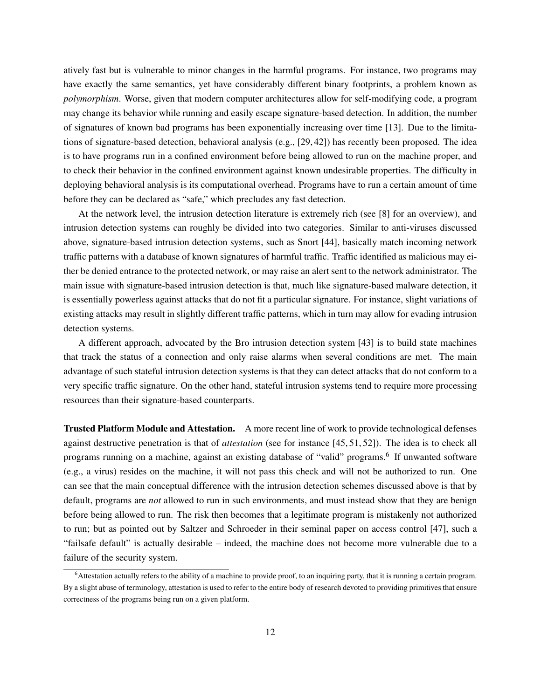atively fast but is vulnerable to minor changes in the harmful programs. For instance, two programs may have exactly the same semantics, yet have considerably different binary footprints, a problem known as *polymorphism*. Worse, given that modern computer architectures allow for self-modifying code, a program may change its behavior while running and easily escape signature-based detection. In addition, the number of signatures of known bad programs has been exponentially increasing over time [13]. Due to the limitations of signature-based detection, behavioral analysis (e.g., [29, 42]) has recently been proposed. The idea is to have programs run in a confined environment before being allowed to run on the machine proper, and to check their behavior in the confined environment against known undesirable properties. The difficulty in deploying behavioral analysis is its computational overhead. Programs have to run a certain amount of time before they can be declared as "safe," which precludes any fast detection.

At the network level, the intrusion detection literature is extremely rich (see [8] for an overview), and intrusion detection systems can roughly be divided into two categories. Similar to anti-viruses discussed above, signature-based intrusion detection systems, such as Snort [44], basically match incoming network traffic patterns with a database of known signatures of harmful traffic. Traffic identified as malicious may either be denied entrance to the protected network, or may raise an alert sent to the network administrator. The main issue with signature-based intrusion detection is that, much like signature-based malware detection, it is essentially powerless against attacks that do not fit a particular signature. For instance, slight variations of existing attacks may result in slightly different traffic patterns, which in turn may allow for evading intrusion detection systems.

A different approach, advocated by the Bro intrusion detection system [43] is to build state machines that track the status of a connection and only raise alarms when several conditions are met. The main advantage of such stateful intrusion detection systems is that they can detect attacks that do not conform to a very specific traffic signature. On the other hand, stateful intrusion systems tend to require more processing resources than their signature-based counterparts.

Trusted Platform Module and Attestation. A more recent line of work to provide technological defenses against destructive penetration is that of *attestation* (see for instance [45, 51, 52]). The idea is to check all programs running on a machine, against an existing database of "valid" programs.<sup>6</sup> If unwanted software (e.g., a virus) resides on the machine, it will not pass this check and will not be authorized to run. One can see that the main conceptual difference with the intrusion detection schemes discussed above is that by default, programs are *not* allowed to run in such environments, and must instead show that they are benign before being allowed to run. The risk then becomes that a legitimate program is mistakenly not authorized to run; but as pointed out by Saltzer and Schroeder in their seminal paper on access control [47], such a "failsafe default" is actually desirable – indeed, the machine does not become more vulnerable due to a failure of the security system.

<sup>6</sup>Attestation actually refers to the ability of a machine to provide proof, to an inquiring party, that it is running a certain program. By a slight abuse of terminology, attestation is used to refer to the entire body of research devoted to providing primitives that ensure correctness of the programs being run on a given platform.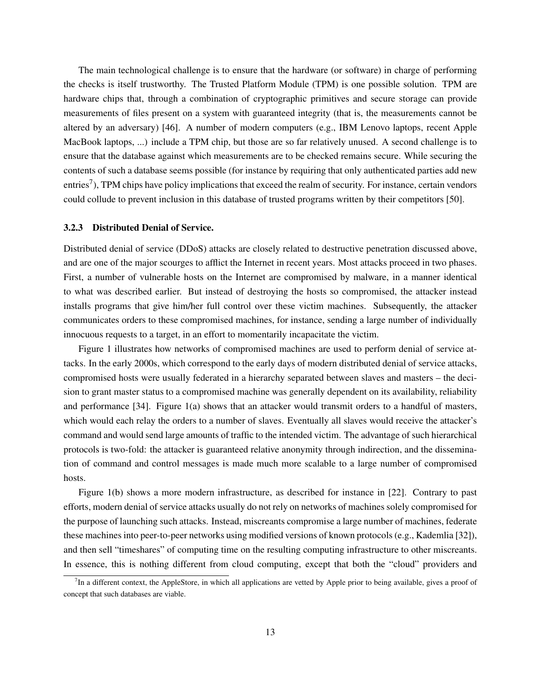The main technological challenge is to ensure that the hardware (or software) in charge of performing the checks is itself trustworthy. The Trusted Platform Module (TPM) is one possible solution. TPM are hardware chips that, through a combination of cryptographic primitives and secure storage can provide measurements of files present on a system with guaranteed integrity (that is, the measurements cannot be altered by an adversary) [46]. A number of modern computers (e.g., IBM Lenovo laptops, recent Apple MacBook laptops, ...) include a TPM chip, but those are so far relatively unused. A second challenge is to ensure that the database against which measurements are to be checked remains secure. While securing the contents of such a database seems possible (for instance by requiring that only authenticated parties add new entries<sup>7</sup>), TPM chips have policy implications that exceed the realm of security. For instance, certain vendors could collude to prevent inclusion in this database of trusted programs written by their competitors [50].

#### 3.2.3 Distributed Denial of Service.

Distributed denial of service (DDoS) attacks are closely related to destructive penetration discussed above, and are one of the major scourges to afflict the Internet in recent years. Most attacks proceed in two phases. First, a number of vulnerable hosts on the Internet are compromised by malware, in a manner identical to what was described earlier. But instead of destroying the hosts so compromised, the attacker instead installs programs that give him/her full control over these victim machines. Subsequently, the attacker communicates orders to these compromised machines, for instance, sending a large number of individually innocuous requests to a target, in an effort to momentarily incapacitate the victim.

Figure 1 illustrates how networks of compromised machines are used to perform denial of service attacks. In the early 2000s, which correspond to the early days of modern distributed denial of service attacks, compromised hosts were usually federated in a hierarchy separated between slaves and masters – the decision to grant master status to a compromised machine was generally dependent on its availability, reliability and performance [34]. Figure 1(a) shows that an attacker would transmit orders to a handful of masters, which would each relay the orders to a number of slaves. Eventually all slaves would receive the attacker's command and would send large amounts of traffic to the intended victim. The advantage of such hierarchical protocols is two-fold: the attacker is guaranteed relative anonymity through indirection, and the dissemination of command and control messages is made much more scalable to a large number of compromised hosts.

Figure 1(b) shows a more modern infrastructure, as described for instance in [22]. Contrary to past efforts, modern denial of service attacks usually do not rely on networks of machines solely compromised for the purpose of launching such attacks. Instead, miscreants compromise a large number of machines, federate these machines into peer-to-peer networks using modified versions of known protocols (e.g., Kademlia [32]), and then sell "timeshares" of computing time on the resulting computing infrastructure to other miscreants. In essence, this is nothing different from cloud computing, except that both the "cloud" providers and

 $<sup>7</sup>$ In a different context, the AppleStore, in which all applications are vetted by Apple prior to being available, gives a proof of</sup> concept that such databases are viable.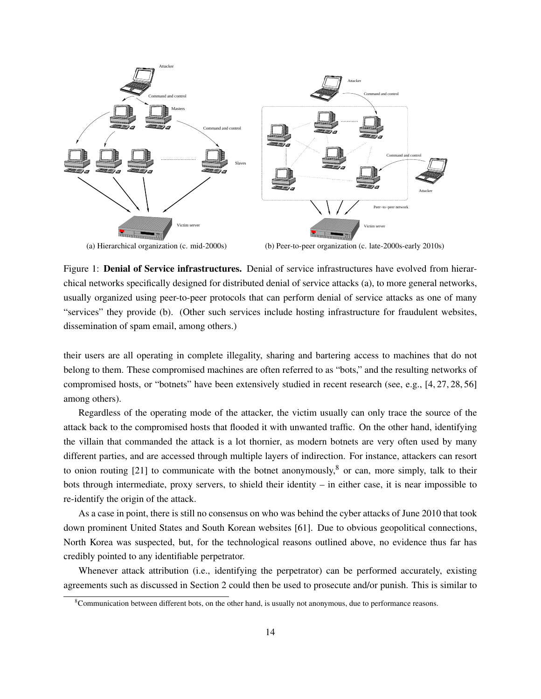

(a) Hierarchical organization (c. mid-2000s)

(b) Peer-to-peer organization (c. late-2000s-early 2010s)

Figure 1: Denial of Service infrastructures. Denial of service infrastructures have evolved from hierarchical networks specifically designed for distributed denial of service attacks (a), to more general networks, usually organized using peer-to-peer protocols that can perform denial of service attacks as one of many "services" they provide (b). (Other such services include hosting infrastructure for fraudulent websites, dissemination of spam email, among others.)

their users are all operating in complete illegality, sharing and bartering access to machines that do not belong to them. These compromised machines are often referred to as "bots," and the resulting networks of compromised hosts, or "botnets" have been extensively studied in recent research (see, e.g., [4, 27, 28, 56] among others).

Regardless of the operating mode of the attacker, the victim usually can only trace the source of the attack back to the compromised hosts that flooded it with unwanted traffic. On the other hand, identifying the villain that commanded the attack is a lot thornier, as modern botnets are very often used by many different parties, and are accessed through multiple layers of indirection. For instance, attackers can resort to onion routing [21] to communicate with the botnet anonymously,  $\delta$  or can, more simply, talk to their bots through intermediate, proxy servers, to shield their identity – in either case, it is near impossible to re-identify the origin of the attack.

As a case in point, there is still no consensus on who was behind the cyber attacks of June 2010 that took down prominent United States and South Korean websites [61]. Due to obvious geopolitical connections, North Korea was suspected, but, for the technological reasons outlined above, no evidence thus far has credibly pointed to any identifiable perpetrator.

Whenever attack attribution (i.e., identifying the perpetrator) can be performed accurately, existing agreements such as discussed in Section 2 could then be used to prosecute and/or punish. This is similar to

 $8$ Communication between different bots, on the other hand, is usually not anonymous, due to performance reasons.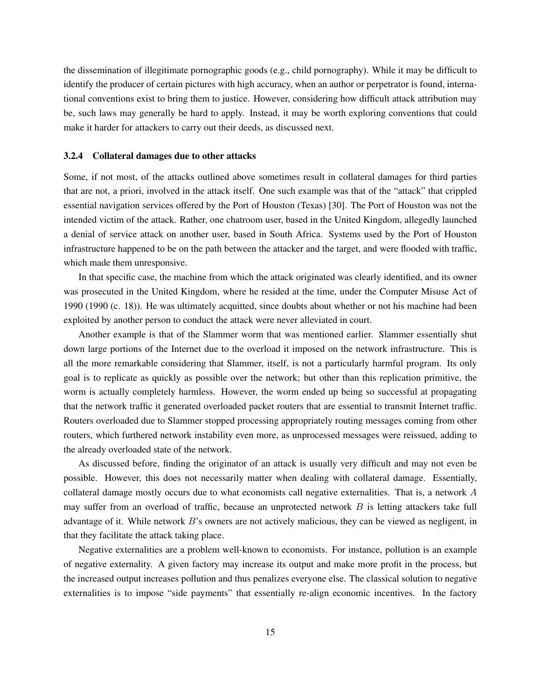the dissemination of illegitimate pornographic goods (e.g., child pornography). While it may be difficult to identify the producer of certain pictures with high accuracy, when an author or perpetrator is found, international conventions exist to bring them to justice. However, considering how difficult attack attribution may be, such laws may generally be hard to apply. Instead, it may be worth exploring conventions that could make it harder for attackers to carry out their deeds, as discussed next.

#### 3.2.4 Collateral damages due to other attacks

Some, if not most, of the attacks outlined above sometimes result in collateral damages for third parties that are not, a priori, involved in the attack itself. One such example was that of the "attack" that crippled essential navigation services offered by the Port of Houston (Texas) [30]. The Port of Houston was not the intended victim of the attack. Rather, one chatroom user, based in the United Kingdom, allegedly launched a denial of service attack on another user, based in South Africa. Systems used by the Port of Houston infrastructure happened to be on the path between the attacker and the target, and were flooded with traffic, which made them unresponsive.

In that specific case, the machine from which the attack originated was clearly identified, and its owner was prosecuted in the United Kingdom, where he resided at the time, under the Computer Misuse Act of 1990 (1990 (c. 18)). He was ultimately acquitted, since doubts about whether or not his machine had been exploited by another person to conduct the attack were never alleviated in court.

Another example is that of the Slammer worm that was mentioned earlier. Slammer essentially shut down large portions of the Internet due to the overload it imposed on the network infrastructure. This is all the more remarkable considering that Slammer, itself, is not a particularly harmful program. Its only goal is to replicate as quickly as possible over the network; but other than this replication primitive, the worm is actually completely harmless. However, the worm ended up being so successful at propagating that the network traffic it generated overloaded packet routers that are essential to transmit Internet traffic. Routers overloaded due to Slammer stopped processing appropriately routing messages coming from other routers, which furthered network instability even more, as unprocessed messages were reissued, adding to the already overloaded state of the network.

As discussed before, finding the originator of an attack is usually very difficult and may not even be possible. However, this does not necessarily matter when dealing with collateral damage. Essentially, collateral damage mostly occurs due to what economists call negative externalities. That is, a network A may suffer from an overload of traffic, because an unprotected network  $B$  is letting attackers take full advantage of it. While network B's owners are not actively malicious, they can be viewed as negligent, in that they facilitate the attack taking place.

Negative externalities are a problem well-known to economists. For instance, pollution is an example of negative externality. A given factory may increase its output and make more profit in the process, but the increased output increases pollution and thus penalizes everyone else. The classical solution to negative externalities is to impose "side payments" that essentially re-align economic incentives. In the factory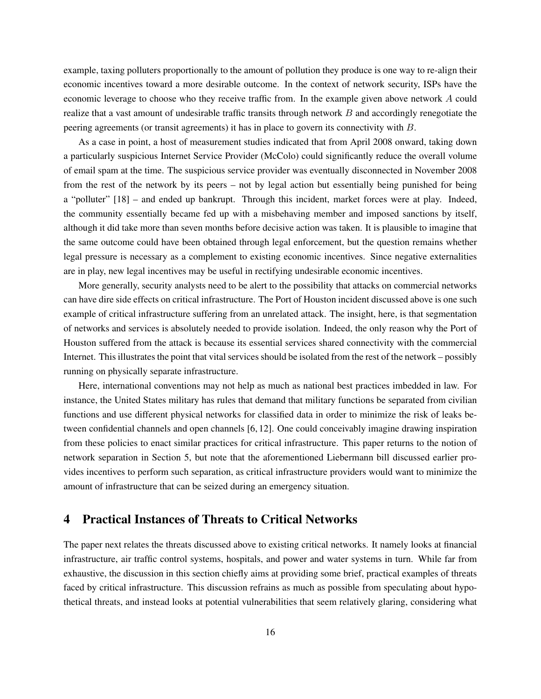example, taxing polluters proportionally to the amount of pollution they produce is one way to re-align their economic incentives toward a more desirable outcome. In the context of network security, ISPs have the economic leverage to choose who they receive traffic from. In the example given above network A could realize that a vast amount of undesirable traffic transits through network B and accordingly renegotiate the peering agreements (or transit agreements) it has in place to govern its connectivity with B.

As a case in point, a host of measurement studies indicated that from April 2008 onward, taking down a particularly suspicious Internet Service Provider (McColo) could significantly reduce the overall volume of email spam at the time. The suspicious service provider was eventually disconnected in November 2008 from the rest of the network by its peers – not by legal action but essentially being punished for being a "polluter" [18] – and ended up bankrupt. Through this incident, market forces were at play. Indeed, the community essentially became fed up with a misbehaving member and imposed sanctions by itself, although it did take more than seven months before decisive action was taken. It is plausible to imagine that the same outcome could have been obtained through legal enforcement, but the question remains whether legal pressure is necessary as a complement to existing economic incentives. Since negative externalities are in play, new legal incentives may be useful in rectifying undesirable economic incentives.

More generally, security analysts need to be alert to the possibility that attacks on commercial networks can have dire side effects on critical infrastructure. The Port of Houston incident discussed above is one such example of critical infrastructure suffering from an unrelated attack. The insight, here, is that segmentation of networks and services is absolutely needed to provide isolation. Indeed, the only reason why the Port of Houston suffered from the attack is because its essential services shared connectivity with the commercial Internet. This illustrates the point that vital services should be isolated from the rest of the network – possibly running on physically separate infrastructure.

Here, international conventions may not help as much as national best practices imbedded in law. For instance, the United States military has rules that demand that military functions be separated from civilian functions and use different physical networks for classified data in order to minimize the risk of leaks between confidential channels and open channels [6, 12]. One could conceivably imagine drawing inspiration from these policies to enact similar practices for critical infrastructure. This paper returns to the notion of network separation in Section 5, but note that the aforementioned Liebermann bill discussed earlier provides incentives to perform such separation, as critical infrastructure providers would want to minimize the amount of infrastructure that can be seized during an emergency situation.

## 4 Practical Instances of Threats to Critical Networks

The paper next relates the threats discussed above to existing critical networks. It namely looks at financial infrastructure, air traffic control systems, hospitals, and power and water systems in turn. While far from exhaustive, the discussion in this section chiefly aims at providing some brief, practical examples of threats faced by critical infrastructure. This discussion refrains as much as possible from speculating about hypothetical threats, and instead looks at potential vulnerabilities that seem relatively glaring, considering what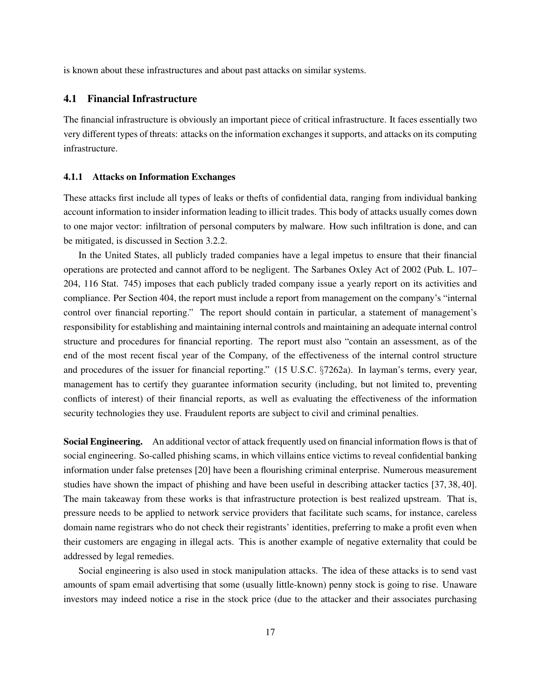is known about these infrastructures and about past attacks on similar systems.

#### 4.1 Financial Infrastructure

The financial infrastructure is obviously an important piece of critical infrastructure. It faces essentially two very different types of threats: attacks on the information exchanges it supports, and attacks on its computing infrastructure.

#### 4.1.1 Attacks on Information Exchanges

These attacks first include all types of leaks or thefts of confidential data, ranging from individual banking account information to insider information leading to illicit trades. This body of attacks usually comes down to one major vector: infiltration of personal computers by malware. How such infiltration is done, and can be mitigated, is discussed in Section 3.2.2.

In the United States, all publicly traded companies have a legal impetus to ensure that their financial operations are protected and cannot afford to be negligent. The Sarbanes Oxley Act of 2002 (Pub. L. 107– 204, 116 Stat. 745) imposes that each publicly traded company issue a yearly report on its activities and compliance. Per Section 404, the report must include a report from management on the company's "internal control over financial reporting." The report should contain in particular, a statement of management's responsibility for establishing and maintaining internal controls and maintaining an adequate internal control structure and procedures for financial reporting. The report must also "contain an assessment, as of the end of the most recent fiscal year of the Company, of the effectiveness of the internal control structure and procedures of the issuer for financial reporting." (15 U.S.C. §7262a). In layman's terms, every year, management has to certify they guarantee information security (including, but not limited to, preventing conflicts of interest) of their financial reports, as well as evaluating the effectiveness of the information security technologies they use. Fraudulent reports are subject to civil and criminal penalties.

Social Engineering. An additional vector of attack frequently used on financial information flows is that of social engineering. So-called phishing scams, in which villains entice victims to reveal confidential banking information under false pretenses [20] have been a flourishing criminal enterprise. Numerous measurement studies have shown the impact of phishing and have been useful in describing attacker tactics [37, 38, 40]. The main takeaway from these works is that infrastructure protection is best realized upstream. That is, pressure needs to be applied to network service providers that facilitate such scams, for instance, careless domain name registrars who do not check their registrants' identities, preferring to make a profit even when their customers are engaging in illegal acts. This is another example of negative externality that could be addressed by legal remedies.

Social engineering is also used in stock manipulation attacks. The idea of these attacks is to send vast amounts of spam email advertising that some (usually little-known) penny stock is going to rise. Unaware investors may indeed notice a rise in the stock price (due to the attacker and their associates purchasing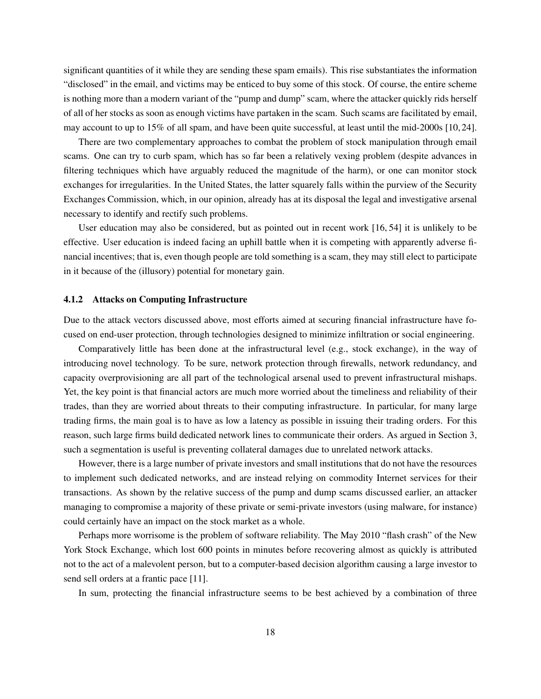significant quantities of it while they are sending these spam emails). This rise substantiates the information "disclosed" in the email, and victims may be enticed to buy some of this stock. Of course, the entire scheme is nothing more than a modern variant of the "pump and dump" scam, where the attacker quickly rids herself of all of her stocks as soon as enough victims have partaken in the scam. Such scams are facilitated by email, may account to up to 15% of all spam, and have been quite successful, at least until the mid-2000s [10, 24].

There are two complementary approaches to combat the problem of stock manipulation through email scams. One can try to curb spam, which has so far been a relatively vexing problem (despite advances in filtering techniques which have arguably reduced the magnitude of the harm), or one can monitor stock exchanges for irregularities. In the United States, the latter squarely falls within the purview of the Security Exchanges Commission, which, in our opinion, already has at its disposal the legal and investigative arsenal necessary to identify and rectify such problems.

User education may also be considered, but as pointed out in recent work [16, 54] it is unlikely to be effective. User education is indeed facing an uphill battle when it is competing with apparently adverse financial incentives; that is, even though people are told something is a scam, they may still elect to participate in it because of the (illusory) potential for monetary gain.

#### 4.1.2 Attacks on Computing Infrastructure

Due to the attack vectors discussed above, most efforts aimed at securing financial infrastructure have focused on end-user protection, through technologies designed to minimize infiltration or social engineering.

Comparatively little has been done at the infrastructural level (e.g., stock exchange), in the way of introducing novel technology. To be sure, network protection through firewalls, network redundancy, and capacity overprovisioning are all part of the technological arsenal used to prevent infrastructural mishaps. Yet, the key point is that financial actors are much more worried about the timeliness and reliability of their trades, than they are worried about threats to their computing infrastructure. In particular, for many large trading firms, the main goal is to have as low a latency as possible in issuing their trading orders. For this reason, such large firms build dedicated network lines to communicate their orders. As argued in Section 3, such a segmentation is useful is preventing collateral damages due to unrelated network attacks.

However, there is a large number of private investors and small institutions that do not have the resources to implement such dedicated networks, and are instead relying on commodity Internet services for their transactions. As shown by the relative success of the pump and dump scams discussed earlier, an attacker managing to compromise a majority of these private or semi-private investors (using malware, for instance) could certainly have an impact on the stock market as a whole.

Perhaps more worrisome is the problem of software reliability. The May 2010 "flash crash" of the New York Stock Exchange, which lost 600 points in minutes before recovering almost as quickly is attributed not to the act of a malevolent person, but to a computer-based decision algorithm causing a large investor to send sell orders at a frantic pace [11].

In sum, protecting the financial infrastructure seems to be best achieved by a combination of three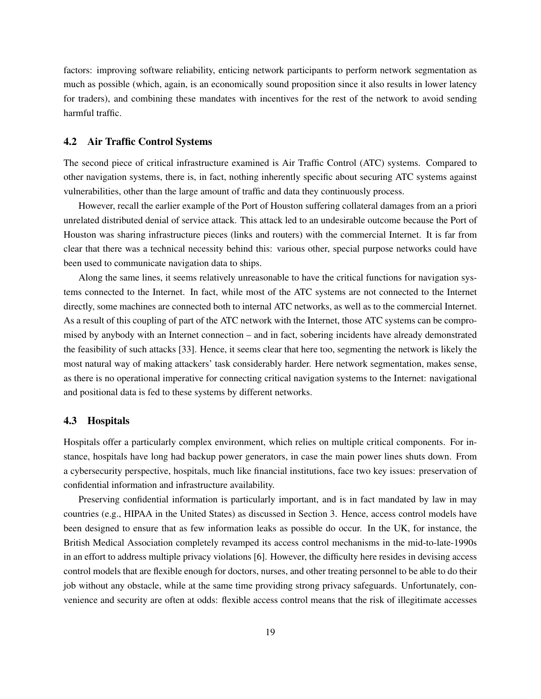factors: improving software reliability, enticing network participants to perform network segmentation as much as possible (which, again, is an economically sound proposition since it also results in lower latency for traders), and combining these mandates with incentives for the rest of the network to avoid sending harmful traffic.

#### 4.2 Air Traffic Control Systems

The second piece of critical infrastructure examined is Air Traffic Control (ATC) systems. Compared to other navigation systems, there is, in fact, nothing inherently specific about securing ATC systems against vulnerabilities, other than the large amount of traffic and data they continuously process.

However, recall the earlier example of the Port of Houston suffering collateral damages from an a priori unrelated distributed denial of service attack. This attack led to an undesirable outcome because the Port of Houston was sharing infrastructure pieces (links and routers) with the commercial Internet. It is far from clear that there was a technical necessity behind this: various other, special purpose networks could have been used to communicate navigation data to ships.

Along the same lines, it seems relatively unreasonable to have the critical functions for navigation systems connected to the Internet. In fact, while most of the ATC systems are not connected to the Internet directly, some machines are connected both to internal ATC networks, as well as to the commercial Internet. As a result of this coupling of part of the ATC network with the Internet, those ATC systems can be compromised by anybody with an Internet connection – and in fact, sobering incidents have already demonstrated the feasibility of such attacks [33]. Hence, it seems clear that here too, segmenting the network is likely the most natural way of making attackers' task considerably harder. Here network segmentation, makes sense, as there is no operational imperative for connecting critical navigation systems to the Internet: navigational and positional data is fed to these systems by different networks.

#### 4.3 Hospitals

Hospitals offer a particularly complex environment, which relies on multiple critical components. For instance, hospitals have long had backup power generators, in case the main power lines shuts down. From a cybersecurity perspective, hospitals, much like financial institutions, face two key issues: preservation of confidential information and infrastructure availability.

Preserving confidential information is particularly important, and is in fact mandated by law in may countries (e.g., HIPAA in the United States) as discussed in Section 3. Hence, access control models have been designed to ensure that as few information leaks as possible do occur. In the UK, for instance, the British Medical Association completely revamped its access control mechanisms in the mid-to-late-1990s in an effort to address multiple privacy violations [6]. However, the difficulty here resides in devising access control models that are flexible enough for doctors, nurses, and other treating personnel to be able to do their job without any obstacle, while at the same time providing strong privacy safeguards. Unfortunately, convenience and security are often at odds: flexible access control means that the risk of illegitimate accesses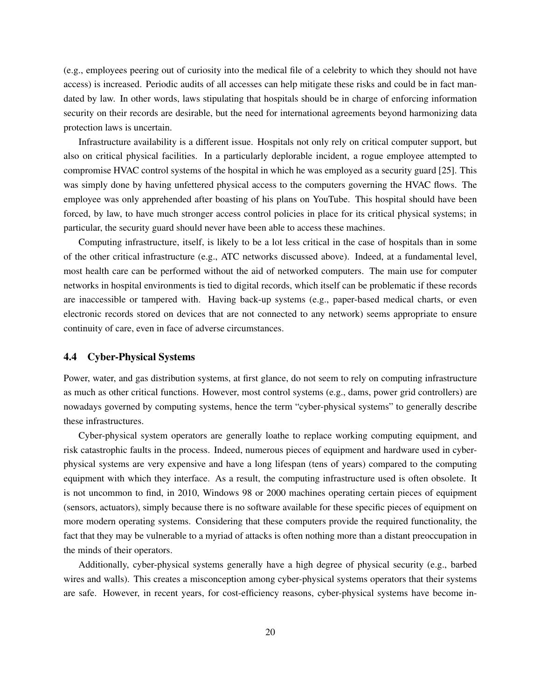(e.g., employees peering out of curiosity into the medical file of a celebrity to which they should not have access) is increased. Periodic audits of all accesses can help mitigate these risks and could be in fact mandated by law. In other words, laws stipulating that hospitals should be in charge of enforcing information security on their records are desirable, but the need for international agreements beyond harmonizing data protection laws is uncertain.

Infrastructure availability is a different issue. Hospitals not only rely on critical computer support, but also on critical physical facilities. In a particularly deplorable incident, a rogue employee attempted to compromise HVAC control systems of the hospital in which he was employed as a security guard [25]. This was simply done by having unfettered physical access to the computers governing the HVAC flows. The employee was only apprehended after boasting of his plans on YouTube. This hospital should have been forced, by law, to have much stronger access control policies in place for its critical physical systems; in particular, the security guard should never have been able to access these machines.

Computing infrastructure, itself, is likely to be a lot less critical in the case of hospitals than in some of the other critical infrastructure (e.g., ATC networks discussed above). Indeed, at a fundamental level, most health care can be performed without the aid of networked computers. The main use for computer networks in hospital environments is tied to digital records, which itself can be problematic if these records are inaccessible or tampered with. Having back-up systems (e.g., paper-based medical charts, or even electronic records stored on devices that are not connected to any network) seems appropriate to ensure continuity of care, even in face of adverse circumstances.

#### 4.4 Cyber-Physical Systems

Power, water, and gas distribution systems, at first glance, do not seem to rely on computing infrastructure as much as other critical functions. However, most control systems (e.g., dams, power grid controllers) are nowadays governed by computing systems, hence the term "cyber-physical systems" to generally describe these infrastructures.

Cyber-physical system operators are generally loathe to replace working computing equipment, and risk catastrophic faults in the process. Indeed, numerous pieces of equipment and hardware used in cyberphysical systems are very expensive and have a long lifespan (tens of years) compared to the computing equipment with which they interface. As a result, the computing infrastructure used is often obsolete. It is not uncommon to find, in 2010, Windows 98 or 2000 machines operating certain pieces of equipment (sensors, actuators), simply because there is no software available for these specific pieces of equipment on more modern operating systems. Considering that these computers provide the required functionality, the fact that they may be vulnerable to a myriad of attacks is often nothing more than a distant preoccupation in the minds of their operators.

Additionally, cyber-physical systems generally have a high degree of physical security (e.g., barbed wires and walls). This creates a misconception among cyber-physical systems operators that their systems are safe. However, in recent years, for cost-efficiency reasons, cyber-physical systems have become in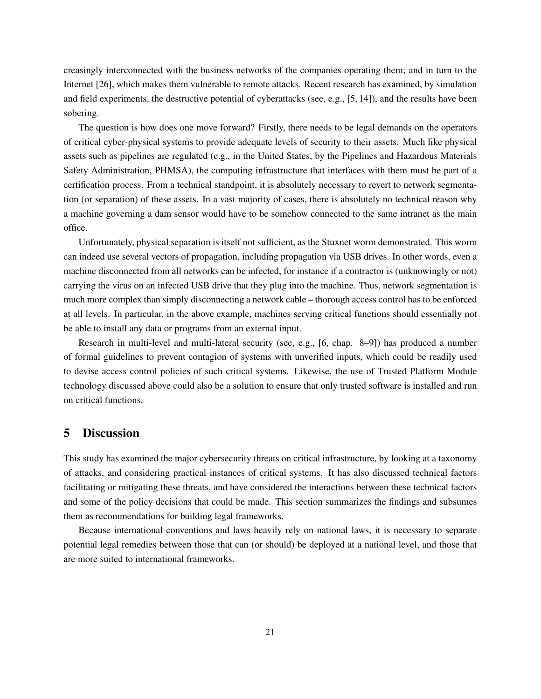creasingly interconnected with the business networks of the companies operating them; and in turn to the Internet [26], which makes them vulnerable to remote attacks. Recent research has examined, by simulation and field experiments, the destructive potential of cyberattacks (see, e.g., [5, 14]), and the results have been sobering.

The question is how does one move forward? Firstly, there needs to be legal demands on the operators of critical cyber-physical systems to provide adequate levels of security to their assets. Much like physical assets such as pipelines are regulated (e.g., in the United States, by the Pipelines and Hazardous Materials Safety Administration, PHMSA), the computing infrastructure that interfaces with them must be part of a certification process. From a technical standpoint, it is absolutely necessary to revert to network segmentation (or separation) of these assets. In a vast majority of cases, there is absolutely no technical reason why a machine governing a dam sensor would have to be somehow connected to the same intranet as the main office.

Unfortunately, physical separation is itself not sufficient, as the Stuxnet worm demonstrated. This worm can indeed use several vectors of propagation, including propagation via USB drives. In other words, even a machine disconnected from all networks can be infected, for instance if a contractor is (unknowingly or not) carrying the virus on an infected USB drive that they plug into the machine. Thus, network segmentation is much more complex than simply disconnecting a network cable – thorough access control has to be enforced at all levels. In particular, in the above example, machines serving critical functions should essentially not be able to install any data or programs from an external input.

Research in multi-level and multi-lateral security (see, e.g., [6, chap. 8–9]) has produced a number of formal guidelines to prevent contagion of systems with unverified inputs, which could be readily used to devise access control policies of such critical systems. Likewise, the use of Trusted Platform Module technology discussed above could also be a solution to ensure that only trusted software is installed and run on critical functions.

## 5 Discussion

This study has examined the major cybersecurity threats on critical infrastructure, by looking at a taxonomy of attacks, and considering practical instances of critical systems. It has also discussed technical factors facilitating or mitigating these threats, and have considered the interactions between these technical factors and some of the policy decisions that could be made. This section summarizes the findings and subsumes them as recommendations for building legal frameworks.

Because international conventions and laws heavily rely on national laws, it is necessary to separate potential legal remedies between those that can (or should) be deployed at a national level, and those that are more suited to international frameworks.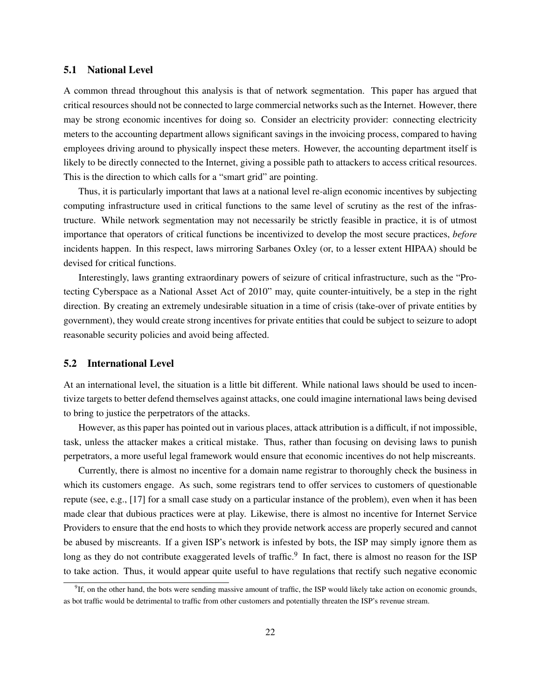#### 5.1 National Level

A common thread throughout this analysis is that of network segmentation. This paper has argued that critical resources should not be connected to large commercial networks such as the Internet. However, there may be strong economic incentives for doing so. Consider an electricity provider: connecting electricity meters to the accounting department allows significant savings in the invoicing process, compared to having employees driving around to physically inspect these meters. However, the accounting department itself is likely to be directly connected to the Internet, giving a possible path to attackers to access critical resources. This is the direction to which calls for a "smart grid" are pointing.

Thus, it is particularly important that laws at a national level re-align economic incentives by subjecting computing infrastructure used in critical functions to the same level of scrutiny as the rest of the infrastructure. While network segmentation may not necessarily be strictly feasible in practice, it is of utmost importance that operators of critical functions be incentivized to develop the most secure practices, *before* incidents happen. In this respect, laws mirroring Sarbanes Oxley (or, to a lesser extent HIPAA) should be devised for critical functions.

Interestingly, laws granting extraordinary powers of seizure of critical infrastructure, such as the "Protecting Cyberspace as a National Asset Act of 2010" may, quite counter-intuitively, be a step in the right direction. By creating an extremely undesirable situation in a time of crisis (take-over of private entities by government), they would create strong incentives for private entities that could be subject to seizure to adopt reasonable security policies and avoid being affected.

#### 5.2 International Level

At an international level, the situation is a little bit different. While national laws should be used to incentivize targets to better defend themselves against attacks, one could imagine international laws being devised to bring to justice the perpetrators of the attacks.

However, as this paper has pointed out in various places, attack attribution is a difficult, if not impossible, task, unless the attacker makes a critical mistake. Thus, rather than focusing on devising laws to punish perpetrators, a more useful legal framework would ensure that economic incentives do not help miscreants.

Currently, there is almost no incentive for a domain name registrar to thoroughly check the business in which its customers engage. As such, some registrars tend to offer services to customers of questionable repute (see, e.g., [17] for a small case study on a particular instance of the problem), even when it has been made clear that dubious practices were at play. Likewise, there is almost no incentive for Internet Service Providers to ensure that the end hosts to which they provide network access are properly secured and cannot be abused by miscreants. If a given ISP's network is infested by bots, the ISP may simply ignore them as long as they do not contribute exaggerated levels of traffic.<sup>9</sup> In fact, there is almost no reason for the ISP to take action. Thus, it would appear quite useful to have regulations that rectify such negative economic

<sup>&</sup>lt;sup>9</sup>If, on the other hand, the bots were sending massive amount of traffic, the ISP would likely take action on economic grounds, as bot traffic would be detrimental to traffic from other customers and potentially threaten the ISP's revenue stream.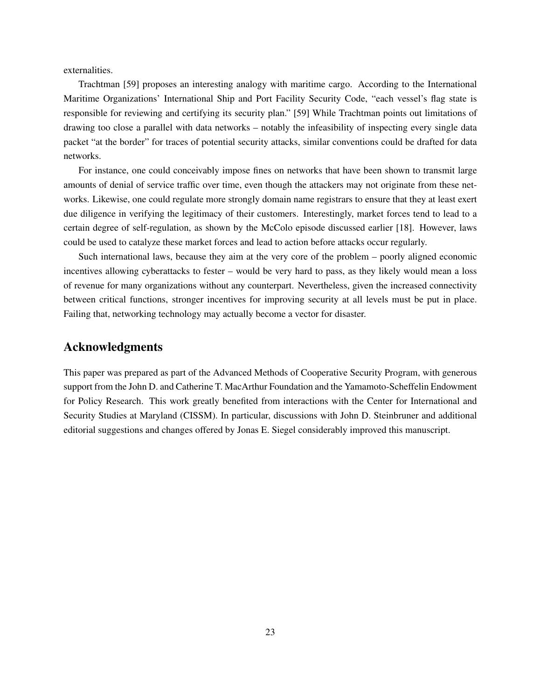externalities.

Trachtman [59] proposes an interesting analogy with maritime cargo. According to the International Maritime Organizations' International Ship and Port Facility Security Code, "each vessel's flag state is responsible for reviewing and certifying its security plan." [59] While Trachtman points out limitations of drawing too close a parallel with data networks – notably the infeasibility of inspecting every single data packet "at the border" for traces of potential security attacks, similar conventions could be drafted for data networks.

For instance, one could conceivably impose fines on networks that have been shown to transmit large amounts of denial of service traffic over time, even though the attackers may not originate from these networks. Likewise, one could regulate more strongly domain name registrars to ensure that they at least exert due diligence in verifying the legitimacy of their customers. Interestingly, market forces tend to lead to a certain degree of self-regulation, as shown by the McColo episode discussed earlier [18]. However, laws could be used to catalyze these market forces and lead to action before attacks occur regularly.

Such international laws, because they aim at the very core of the problem – poorly aligned economic incentives allowing cyberattacks to fester – would be very hard to pass, as they likely would mean a loss of revenue for many organizations without any counterpart. Nevertheless, given the increased connectivity between critical functions, stronger incentives for improving security at all levels must be put in place. Failing that, networking technology may actually become a vector for disaster.

### Acknowledgments

This paper was prepared as part of the Advanced Methods of Cooperative Security Program, with generous support from the John D. and Catherine T. MacArthur Foundation and the Yamamoto-Scheffelin Endowment for Policy Research. This work greatly benefited from interactions with the Center for International and Security Studies at Maryland (CISSM). In particular, discussions with John D. Steinbruner and additional editorial suggestions and changes offered by Jonas E. Siegel considerably improved this manuscript.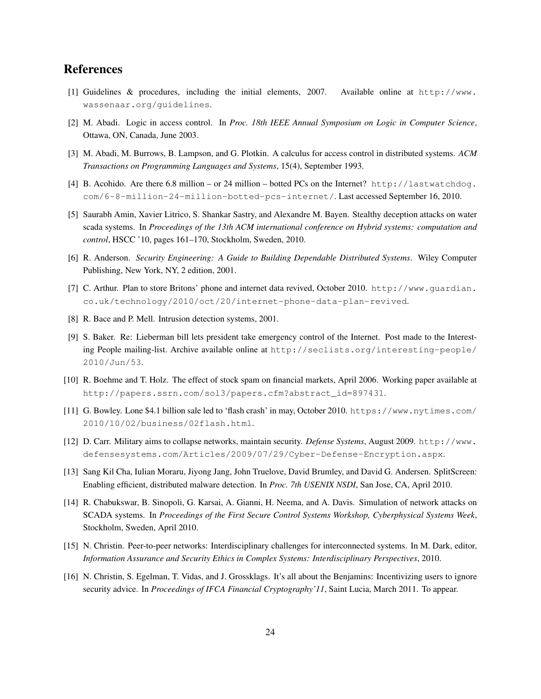## References

- [1] Guidelines & procedures, including the initial elements, 2007. Available online at http://www. wassenaar.org/guidelines.
- [2] M. Abadi. Logic in access control. In *Proc. 18th IEEE Annual Symposium on Logic in Computer Science*, Ottawa, ON, Canada, June 2003.
- [3] M. Abadi, M. Burrows, B. Lampson, and G. Plotkin. A calculus for access control in distributed systems. *ACM Transactions on Programming Languages and Systems*, 15(4), September 1993.
- [4] B. Acohido. Are there 6.8 million or 24 million botted PCs on the Internet? http://lastwatchdog. com/6-8-million-24-million-botted-pcs-internet/. Last accessed September 16, 2010.
- [5] Saurabh Amin, Xavier Litrico, S. Shankar Sastry, and Alexandre M. Bayen. Stealthy deception attacks on water scada systems. In *Proceedings of the 13th ACM international conference on Hybrid systems: computation and control*, HSCC '10, pages 161–170, Stockholm, Sweden, 2010.
- [6] R. Anderson. *Security Engineering: A Guide to Building Dependable Distributed Systems*. Wiley Computer Publishing, New York, NY, 2 edition, 2001.
- [7] C. Arthur. Plan to store Britons' phone and internet data revived, October 2010. http://www.guardian. co.uk/technology/2010/oct/20/internet-phone-data-plan-revived.
- [8] R. Bace and P. Mell. Intrusion detection systems, 2001.
- [9] S. Baker. Re: Lieberman bill lets president take emergency control of the Internet. Post made to the Interesting People mailing-list. Archive available online at http://seclists.org/interesting-people/ 2010/Jun/53.
- [10] R. Boehme and T. Holz. The effect of stock spam on financial markets, April 2006. Working paper available at http://papers.ssrn.com/sol3/papers.cfm?abstract\_id=897431.
- [11] G. Bowley. Lone \$4.1 billion sale led to 'flash crash' in may, October 2010. https://www.nytimes.com/ 2010/10/02/business/02flash.html.
- [12] D. Carr. Military aims to collapse networks, maintain security. *Defense Systems*, August 2009. http://www. defensesystems.com/Articles/2009/07/29/Cyber-Defense-Encryption.aspx.
- [13] Sang Kil Cha, Iulian Moraru, Jiyong Jang, John Truelove, David Brumley, and David G. Andersen. SplitScreen: Enabling efficient, distributed malware detection. In *Proc. 7th USENIX NSDI*, San Jose, CA, April 2010.
- [14] R. Chabukswar, B. Sinopoli, G. Karsai, A. Gianni, H. Neema, and A. Davis. Simulation of network attacks on SCADA systems. In *Proceedings of the First Secure Control Systems Workshop, Cyberphysical Systems Week*, Stockholm, Sweden, April 2010.
- [15] N. Christin. Peer-to-peer networks: Interdisciplinary challenges for interconnected systems. In M. Dark, editor, *Information Assurance and Security Ethics in Complex Systems: Interdisciplinary Perspectives*, 2010.
- [16] N. Christin, S. Egelman, T. Vidas, and J. Grossklags. It's all about the Benjamins: Incentivizing users to ignore security advice. In *Proceedings of IFCA Financial Cryptography'11*, Saint Lucia, March 2011. To appear.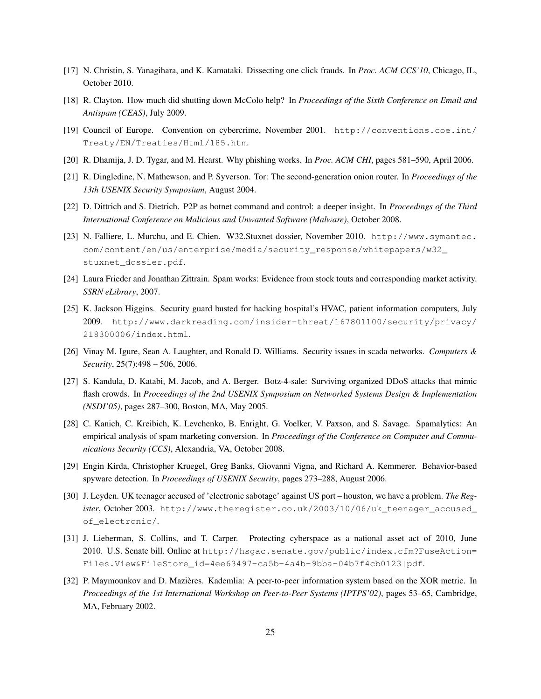- [17] N. Christin, S. Yanagihara, and K. Kamataki. Dissecting one click frauds. In *Proc. ACM CCS'10*, Chicago, IL, October 2010.
- [18] R. Clayton. How much did shutting down McColo help? In *Proceedings of the Sixth Conference on Email and Antispam (CEAS)*, July 2009.
- [19] Council of Europe. Convention on cybercrime, November 2001. http://conventions.coe.int/ Treaty/EN/Treaties/Html/185.htm.
- [20] R. Dhamija, J. D. Tygar, and M. Hearst. Why phishing works. In *Proc. ACM CHI*, pages 581–590, April 2006.
- [21] R. Dingledine, N. Mathewson, and P. Syverson. Tor: The second-generation onion router. In *Proceedings of the 13th USENIX Security Symposium*, August 2004.
- [22] D. Dittrich and S. Dietrich. P2P as botnet command and control: a deeper insight. In *Proceedings of the Third International Conference on Malicious and Unwanted Software (Malware)*, October 2008.
- [23] N. Falliere, L. Murchu, and E. Chien. W32.Stuxnet dossier, November 2010. http://www.symantec. com/content/en/us/enterprise/media/security\_response/whitepapers/w32\_ stuxnet\_dossier.pdf.
- [24] Laura Frieder and Jonathan Zittrain. Spam works: Evidence from stock touts and corresponding market activity. *SSRN eLibrary*, 2007.
- [25] K. Jackson Higgins. Security guard busted for hacking hospital's HVAC, patient information computers, July 2009. http://www.darkreading.com/insider-threat/167801100/security/privacy/ 218300006/index.html.
- [26] Vinay M. Igure, Sean A. Laughter, and Ronald D. Williams. Security issues in scada networks. *Computers & Security*, 25(7):498 – 506, 2006.
- [27] S. Kandula, D. Katabi, M. Jacob, and A. Berger. Botz-4-sale: Surviving organized DDoS attacks that mimic flash crowds. In *Proceedings of the 2nd USENIX Symposium on Networked Systems Design & Implementation (NSDI'05)*, pages 287–300, Boston, MA, May 2005.
- [28] C. Kanich, C. Kreibich, K. Levchenko, B. Enright, G. Voelker, V. Paxson, and S. Savage. Spamalytics: An empirical analysis of spam marketing conversion. In *Proceedings of the Conference on Computer and Communications Security (CCS)*, Alexandria, VA, October 2008.
- [29] Engin Kirda, Christopher Kruegel, Greg Banks, Giovanni Vigna, and Richard A. Kemmerer. Behavior-based spyware detection. In *Proceedings of USENIX Security*, pages 273–288, August 2006.
- [30] J. Leyden. UK teenager accused of 'electronic sabotage' against US port houston, we have a problem. *The Register*, October 2003. http://www.theregister.co.uk/2003/10/06/uk\_teenager\_accused\_ of electronic/.
- [31] J. Lieberman, S. Collins, and T. Carper. Protecting cyberspace as a national asset act of 2010, June 2010. U.S. Senate bill. Online at http://hsgac.senate.gov/public/index.cfm?FuseAction= Files.View&FileStore\_id=4ee63497-ca5b-4a4b-9bba-04b7f4cb0123|pdf.
- [32] P. Maymounkov and D. Mazieres. Kademlia: A peer-to-peer information system based on the XOR metric. In ` *Proceedings of the 1st International Workshop on Peer-to-Peer Systems (IPTPS'02)*, pages 53–65, Cambridge, MA, February 2002.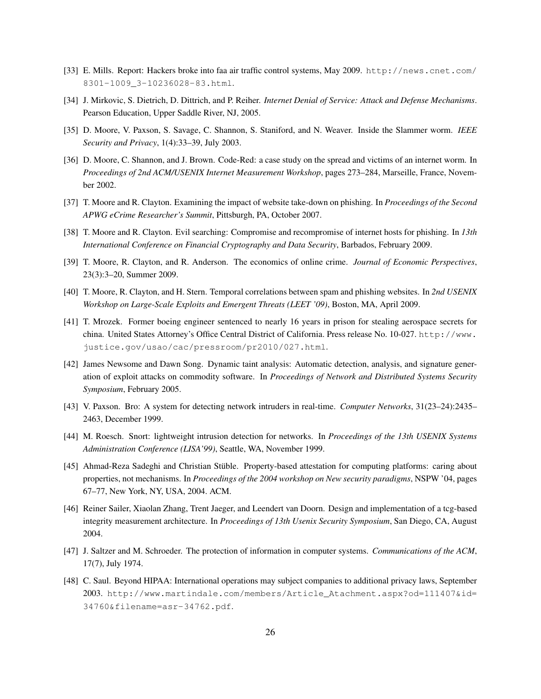- [33] E. Mills. Report: Hackers broke into faa air traffic control systems, May 2009. http://news.cnet.com/ 8301-1009\_3-10236028-83.html.
- [34] J. Mirkovic, S. Dietrich, D. Dittrich, and P. Reiher. *Internet Denial of Service: Attack and Defense Mechanisms*. Pearson Education, Upper Saddle River, NJ, 2005.
- [35] D. Moore, V. Paxson, S. Savage, C. Shannon, S. Staniford, and N. Weaver. Inside the Slammer worm. *IEEE Security and Privacy*, 1(4):33–39, July 2003.
- [36] D. Moore, C. Shannon, and J. Brown. Code-Red: a case study on the spread and victims of an internet worm. In *Proceedings of 2nd ACM/USENIX Internet Measurement Workshop*, pages 273–284, Marseille, France, November 2002.
- [37] T. Moore and R. Clayton. Examining the impact of website take-down on phishing. In *Proceedings of the Second APWG eCrime Researcher's Summit*, Pittsburgh, PA, October 2007.
- [38] T. Moore and R. Clayton. Evil searching: Compromise and recompromise of internet hosts for phishing. In *13th International Conference on Financial Cryptography and Data Security*, Barbados, February 2009.
- [39] T. Moore, R. Clayton, and R. Anderson. The economics of online crime. *Journal of Economic Perspectives*, 23(3):3–20, Summer 2009.
- [40] T. Moore, R. Clayton, and H. Stern. Temporal correlations between spam and phishing websites. In *2nd USENIX Workshop on Large-Scale Exploits and Emergent Threats (LEET '09)*, Boston, MA, April 2009.
- [41] T. Mrozek. Former boeing engineer sentenced to nearly 16 years in prison for stealing aerospace secrets for china. United States Attorney's Office Central District of California. Press release No. 10-027. http://www. justice.gov/usao/cac/pressroom/pr2010/027.html.
- [42] James Newsome and Dawn Song. Dynamic taint analysis: Automatic detection, analysis, and signature generation of exploit attacks on commodity software. In *Proceedings of Network and Distributed Systems Security Symposium*, February 2005.
- [43] V. Paxson. Bro: A system for detecting network intruders in real-time. *Computer Networks*, 31(23–24):2435– 2463, December 1999.
- [44] M. Roesch. Snort: lightweight intrusion detection for networks. In *Proceedings of the 13th USENIX Systems Administration Conference (LISA'99)*, Seattle, WA, November 1999.
- [45] Ahmad-Reza Sadeghi and Christian Stüble. Property-based attestation for computing platforms: caring about properties, not mechanisms. In *Proceedings of the 2004 workshop on New security paradigms*, NSPW '04, pages 67–77, New York, NY, USA, 2004. ACM.
- [46] Reiner Sailer, Xiaolan Zhang, Trent Jaeger, and Leendert van Doorn. Design and implementation of a tcg-based integrity measurement architecture. In *Proceedings of 13th Usenix Security Symposium*, San Diego, CA, August 2004.
- [47] J. Saltzer and M. Schroeder. The protection of information in computer systems. *Communications of the ACM*, 17(7), July 1974.
- [48] C. Saul. Beyond HIPAA: International operations may subject companies to additional privacy laws, September 2003. http://www.martindale.com/members/Article\_Atachment.aspx?od=111407&id= 34760&filename=asr-34762.pdf.